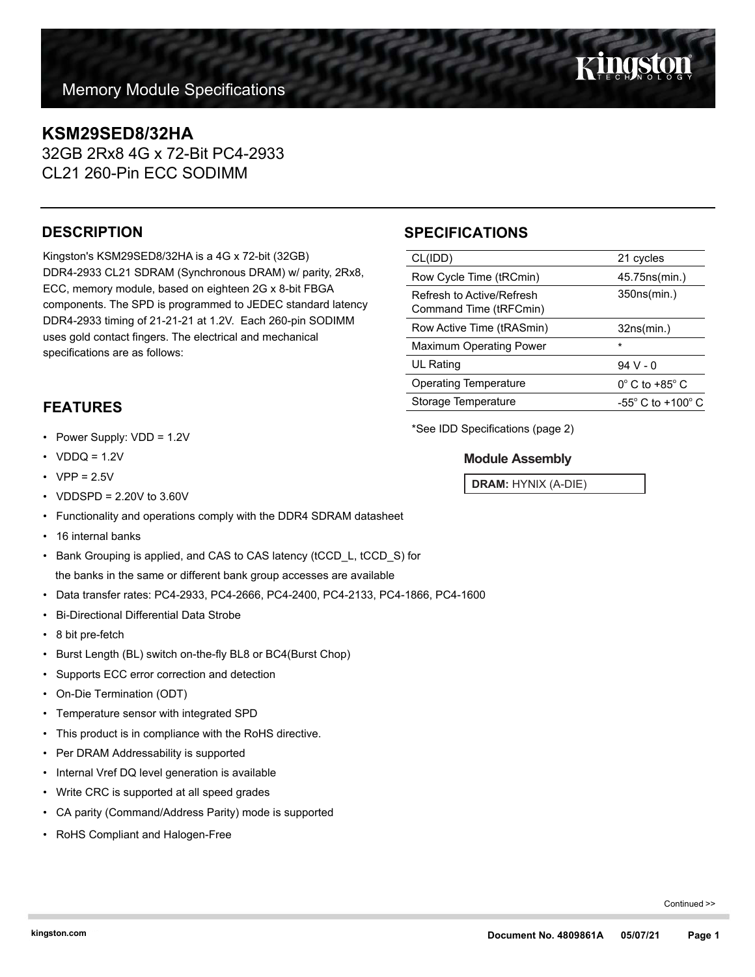## **KSM29SED8/32HA**

32GB 2Rx8 4G x 72-Bit PC4-2933 CL21 260-Pin ECC SODIMM

## **DESCRIPTION**

Kingston's KSM29SED8/32HA is a 4G x 72-bit (32GB) DDR4-2933 CL21 SDRAM (Synchronous DRAM) w/ parity, 2Rx8, ECC, memory module, based on eighteen 2G x 8-bit FBGA components. The SPD is programmed to JEDEC standard latency DDR4-2933 timing of 21-21-21 at 1.2V. Each 260-pin SODIMM uses gold contact fingers. The electrical and mechanical specifications are as follows:

## **FEATURES**

- Power Supply: VDD = 1.2V
- $VDDQ = 1.2V$
- $VPP = 2.5V$
- VDDSPD = 2.20V to 3.60V
- Functionality and operations comply with the DDR4 SDRAM datasheet
- 16 internal banks
- Bank Grouping is applied, and CAS to CAS latency (tCCD\_L, tCCD\_S) for the banks in the same or different bank group accesses are available
- Data transfer rates: PC4-2933, PC4-2666, PC4-2400, PC4-2133, PC4-1866, PC4-1600
- Bi-Directional Differential Data Strobe
- 8 bit pre-fetch
- Burst Length (BL) switch on-the-fly BL8 or BC4(Burst Chop)
- Supports ECC error correction and detection
- On-Die Termination (ODT)
- Temperature sensor with integrated SPD
- This product is in compliance with the RoHS directive.
- Per DRAM Addressability is supported
- Internal Vref DQ level generation is available
- Write CRC is supported at all speed grades
- CA parity (Command/Address Parity) mode is supported
- RoHS Compliant and Halogen-Free

## **SPECIFICATIONS**

| CL(IDD)                                             | 21 cycles                           |
|-----------------------------------------------------|-------------------------------------|
| Row Cycle Time (tRCmin)                             | 45.75ns(min.)                       |
| Refresh to Active/Refresh<br>Command Time (tRFCmin) | 350ns(min.)                         |
| Row Active Time (tRASmin)                           | 32ns(min.)                          |
| <b>Maximum Operating Power</b>                      | $\star$                             |
| UL Rating                                           | $94V - 0$                           |
| <b>Operating Temperature</b>                        | $0^\circ$ C to +85 $^\circ$ C       |
| Storage Temperature                                 | $-55^{\circ}$ C to $+100^{\circ}$ C |
|                                                     |                                     |

\*See IDD Specifications (page 2)

### **Module Assembly**

**DRAM:** HYNIX (A-DIE)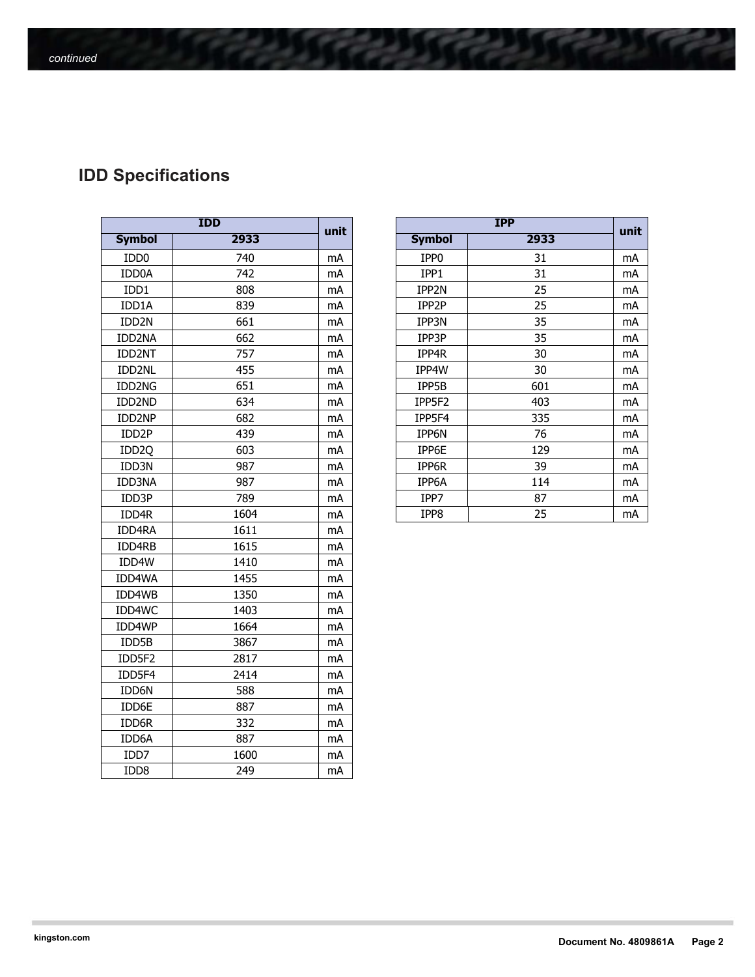# **IDD Specifications**

| <b>IDD</b>        |      |      |  |  |
|-------------------|------|------|--|--|
| <b>Symbol</b>     | 2933 | unit |  |  |
| IDD <sub>0</sub>  | 740  | mA   |  |  |
| IDD0A             | 742  | mA   |  |  |
| IDD1              | 808  | mA   |  |  |
| IDD1A             | 839  | mA   |  |  |
| IDD <sub>2N</sub> | 661  | mA   |  |  |
| IDD2NA            | 662  | mA   |  |  |
| IDD2NT            | 757  | mA   |  |  |
| IDD2NL            | 455  | mA   |  |  |
| IDD2NG            | 651  | mA   |  |  |
| IDD2ND            | 634  | mA   |  |  |
| IDD2NP            | 682  | mA   |  |  |
| IDD <sub>2P</sub> | 439  | mA   |  |  |
| IDD <sub>20</sub> | 603  | mA   |  |  |
| IDD3N             | 987  | mA   |  |  |
| <b>IDD3NA</b>     | 987  | mA   |  |  |
| IDD3P             | 789  | mA   |  |  |
| IDD4R             | 1604 | mA   |  |  |
| IDD4RA            | 1611 | mA   |  |  |
| IDD4RB            | 1615 | mA   |  |  |
| IDD4W             | 1410 | mA   |  |  |
| IDD4WA            | 1455 | mA   |  |  |
| IDD4WB            | 1350 | mA   |  |  |
| IDD4WC            | 1403 | mA   |  |  |
| IDD4WP            | 1664 | mA   |  |  |
| IDD5B             | 3867 | mA   |  |  |
| IDD5F2            | 2817 | mA   |  |  |
| IDD5F4            | 2414 | mA   |  |  |
| IDD6N             | 588  | mA   |  |  |
| IDD6E             | 887  | mA   |  |  |
| IDD6R             | 332  | mA   |  |  |
| IDD6A             | 887  | mA   |  |  |
| IDD7              | 1600 | mA   |  |  |
| IDD8              | 249  | mA   |  |  |

| <b>IDD</b>         |      | unit | <b>IPP</b> |                  | unit |    |
|--------------------|------|------|------------|------------------|------|----|
| <b>Symbol</b>      | 2933 |      |            | <b>Symbol</b>    | 2933 |    |
| IDD <sub>0</sub>   | 740  | mA   |            | IPP <sub>0</sub> | 31   | mA |
| IDD0A              | 742  | mA   |            | IPP1             | 31   | mA |
| IDD1               | 808  | mA   |            | IPP2N            | 25   | mA |
| IDD1A              | 839  | mA   |            | IPP2P            | 25   | mA |
| IDD <sub>2N</sub>  | 661  | mA   |            | IPP3N            | 35   | mA |
| IDD2NA             | 662  | mA   |            | IPP3P            | 35   | mA |
| IDD2NT             | 757  | mA   |            | IPP4R            | 30   | mA |
| IDD2NL             | 455  | mA   |            | IPP4W            | 30   | mA |
| IDD2NG             | 651  | mA   |            | IPP5B            | 601  | mA |
| IDD2ND             | 634  | mA   |            | IPP5F2           | 403  | mA |
| IDD2NP             | 682  | mA   |            | IPP5F4           | 335  | mA |
| IDD <sub>2</sub> P | 439  | mA   |            | IPP6N            | 76   | mA |
| IDD <sub>2Q</sub>  | 603  | mA   |            | IPP6E            | 129  | mA |
| IDD3N              | 987  | mA   |            | IPP6R            | 39   | mA |
| IDD3NA             | 987  | mA   |            | IPP6A            | 114  | mA |
| IDD3P              | 789  | mA   |            | IPP7             | 87   | mA |
| IDD4R              | 1604 | mA   |            | IPP8             | 25   | mA |